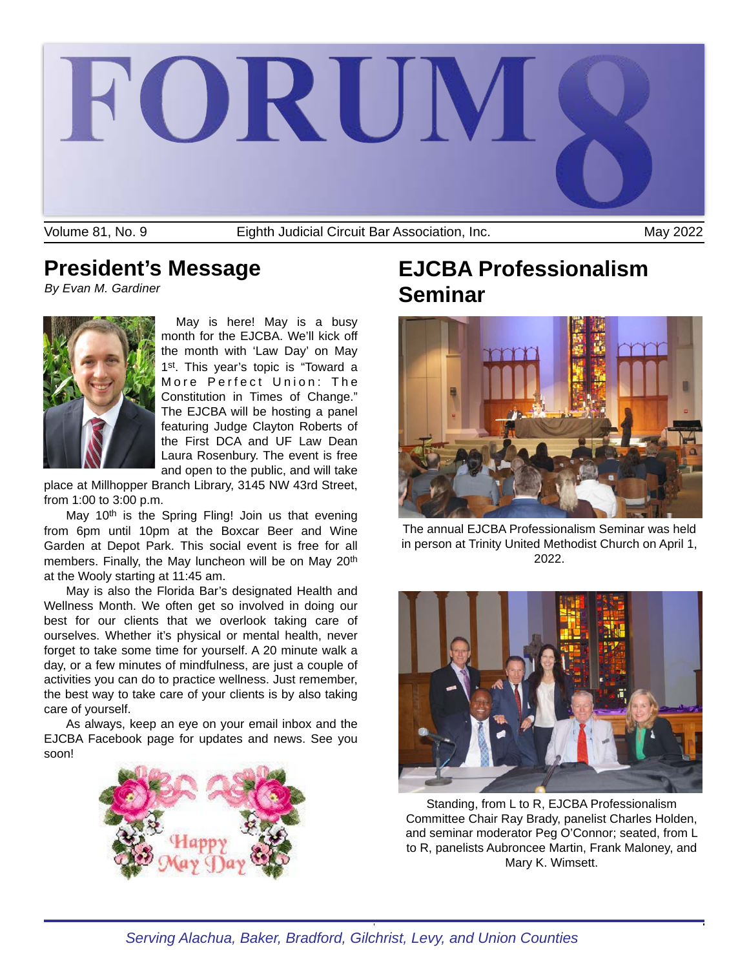

Eighth Judicial Circuit Bar Association, Inc.

## **President's Message**

*By Evan M. Gardiner*



May is here! May is a busy month for the EJCBA. We'll kick off the month with 'Law Day' on May 1st. This year's topic is "Toward a More Perfect Union: The Constitution in Times of Change." The EJCBA will be hosting a panel featuring Judge Clayton Roberts of the First DCA and UF Law Dean Laura Rosenbury. The event is free and open to the public, and will take

place at Millhopper Branch Library, 3145 NW 43rd Street, from 1:00 to 3:00 p.m.

May 10<sup>th</sup> is the Spring Fling! Join us that evening from 6pm until 10pm at the Boxcar Beer and Wine Garden at Depot Park. This social event is free for all members. Finally, the May luncheon will be on May 20<sup>th</sup> at the Wooly starting at 11:45 am.

May is also the Florida Bar's designated Health and Wellness Month. We often get so involved in doing our best for our clients that we overlook taking care of ourselves. Whether it's physical or mental health, never forget to take some time for yourself. A 20 minute walk a day, or a few minutes of mindfulness, are just a couple of activities you can do to practice wellness. Just remember, the best way to take care of your clients is by also taking care of yourself.

As always, keep an eye on your email inbox and the EJCBA Facebook page for updates and news. See you soon!



# **EJCBA Professionalism Seminar**



The annual EJCBA Professionalism Seminar was held in person at Trinity United Methodist Church on April 1, 2022.



Standing, from L to R, EJCBA Professionalism Committee Chair Ray Brady, panelist Charles Holden, and seminar moderator Peg O'Connor; seated, from L to R, panelists Aubroncee Martin, Frank Maloney, and Mary K. Wimsett.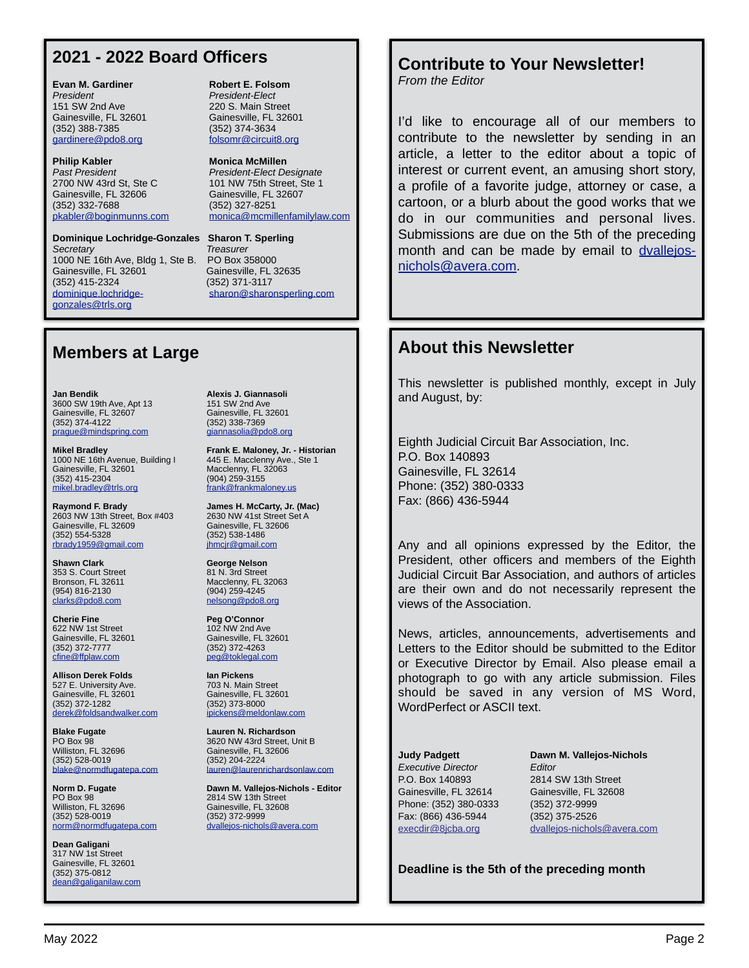### **2021 - 2022 Board Officers**

**Evan M. Gardiner Communication Robert E. Folsom** *President President-Elect* 151 SW 2nd Ave 220 S. Main Street (352) 388-7385 (352) 374-3634 [gardinere@pdo8.org](mailto:gardinere@pdo8.org)

2700 NW 43rd St, Ste C 101 NW 75th Street, Ste 1<br>Gainesville, FL 32606 Gainesville, FL 32607 Gainesville, FL 32606 (352) 332-7688 (352) 327-8251 [pkabler@boginmunns.com](mailto:pkabler@boginmunns.com) [monica@mcmillenfamilylaw.com](mailto:monica@mcmillenfamilylaw.com)

**Dominique Lochridge-Gonzales Sharon T. Sperling** *Secretary Treasurer* 1000 NE 16th Ave, Bldg 1, Ste B. PO Box 358000 Gainesville, FL 32601 Gainesville, FL 32635 (352) 415-2324 (352) 371-3117 [dominique.lochridge-](mailto:dominique.lochridge-gonzales@trls.org)<br> [sharon@sharonsperling.com](mailto:sharon@sharonsperling.com) [gonzales@trls.org](mailto:dominique.lochridge-gonzales@trls.org) 

Gainesville, FL 32601 Gainesville, FL 32601

**Philip Kabler Monica McMillen Past President President-Elect Designate** 

### **Members at Large**

**Jan Bendik Alexis J. Giannasoli** 3600 SW 19th Ave, Apt 13 151 SW 2nd Ave<br>
Gainesville, FL 32607 6ainesville, FL 32601 Gainesville, FL 32607 Gainesville, FL 32607 Gainesville, FL 3<br>(352) 374-4122 (352) 338-7369 (352) 374-4122 (352) 338-7369 [prague@mindspring.com](mailto:prague@mindspring.com)

1000 NE 16th Avenue, Building I 445 E. Macclenny Ave., Ste 1<br>Gainesville. FL 32601 Macclenny, FL 32063 Gainesville, FL 32601 Macclenny, FL 32063<br>(352) 415-2304 (904) 259-3155 [mikel.bradley@trls.org](mailto:mikel.bradley@trls.org)

**Raymond F. Brady James H. McCarty, Jr. (Mac)** 2603 NW 13th Street, Box #403 2630 NW 41st Street Sainesville, FL 32609 Gainesville, FL 32609 Gainesville, FL 3<br>(352) 554-5328 (352) 538-1486 (352) 554-5328 (352) 538-1486 [rbrady1959@gmail.com](mailto:rbrady1959@gmail.com)

**Shawn Clark George Nelson** 353 S. Court Street 81 N. 3rd Street 81 N. 3rd Street 81 N. 3rd Street [clarks@pdo8.com](mailto:clarks@pdo8.com) [nelsong@pdo8.org](mailto:nelsong@pdo8.org)

**Cherie Fine Peg O'Connor**<br> **Peg O'Connor**<br> **Peg O'Connor**<br> **Peg O'Connor** 622 NW 1st Street<br>Gainesville, FL 32601 (352) 372-7777 (352) 372-4263 [cfine@ffplaw.com](mailto:cfine@ffplaw.com)

**Allison Derek Folds Ian Pickens** 527 E. University Ave. 703 N. Main Street Gainesville, FL 32601 Gainesville, FL 32601 (352) 372-1282 (352) 373-8000 [derek@foldsandwalker.com](mailto:derek@foldsandwalker.com)

**Blake Fugate Lauren N. Richardson** (352) 528-0019

PO Box 98<br>
PO Box 98<br>
Williston, FL 32696 2814 SW 13th Street Williston, FL 32696 Gainesville, FL 32608<br>(352) 528-0019 (352) 372-9999 [norm@normdfugatepa.com](mailto:norm@normdfugatepa.com)

**Dean Galigani** 317 NW 1st Street Gainesville, FL 32601 (352) 375-0812 [dean@galiganilaw.com](mailto:dean@galiganilaw.com)

**Mikel Bradley Frank E. Maloney, Jr. - Historian**  $(904)$  259-3155<br>frank@frankmaloney.us

Bronson, FL 32611 Macclenny, FL 32063 (954) 816-2130 (904) 259-4245

Gainesville, FL 32601<br>(352) 372-4263

PO Box 98<br>Williston, FL 32696 3620 NW 43rd Street, Unit B<br>Gainesville, FL 32606 Gainesville, FL 32606<br>(352) 204-2224 [blake@normdfugatepa.com](mailto:blake@normdfugatepa.com) lauren@laurenrichardsonlaw.com

**Norm D. Fugate Dawn M. Vallejos-Nichols - Editor** (352) 372-9999<br>dvallejos-nichols@avera.com

# **Contribute to Your Newsletter!**

*From the Editor*

I'd like to encourage all of our members to contribute to the newsletter by sending in an article, a letter to the editor about a topic of interest or current event, an amusing short story, a profile of a favorite judge, attorney or case, a cartoon, or a blurb about the good works that we do in our communities and personal lives. Submissions are due on the 5th of the preceding month and can be made by email to [dvallejos](mailto:dvallejos-nichols@avera.com)[nichols@avera.com](mailto:dvallejos-nichols@avera.com).

### **About this Newsletter**

This newsletter is published monthly, except in July and August, by:

Eighth Judicial Circuit Bar Association, Inc. P.O. Box 140893 Gainesville, FL 32614 Phone: (352) 380-0333 Fax: (866) 436-5944

Any and all opinions expressed by the Editor, the President, other officers and members of the Eighth Judicial Circuit Bar Association, and authors of articles are their own and do not necessarily represent the views of the Association.

News, articles, announcements, advertisements and Letters to the Editor should be submitted to the Editor or Executive Director by Email. Also please email a photograph to go with any article submission. Files should be saved in any version of MS Word, WordPerfect or ASCII text.

*Executive Director Editor* P.O. Box 140893 2814 SW 13th Street Gainesville, FL 32614 Gainesville, FL 32608 Phone: (352) 380-0333 (352) 372-9999 Fax: (866) 436-5944 (352) 375-2526

**Judy Padgett Dawn M. Vallejos-Nichols** [execdir@8jcba.org](mailto:execdir@8jcba.org) [dvallejos-nichols@avera.com](mailto:dvallejos-nichols@avera.com)

**Deadline is the 5th of the preceding month**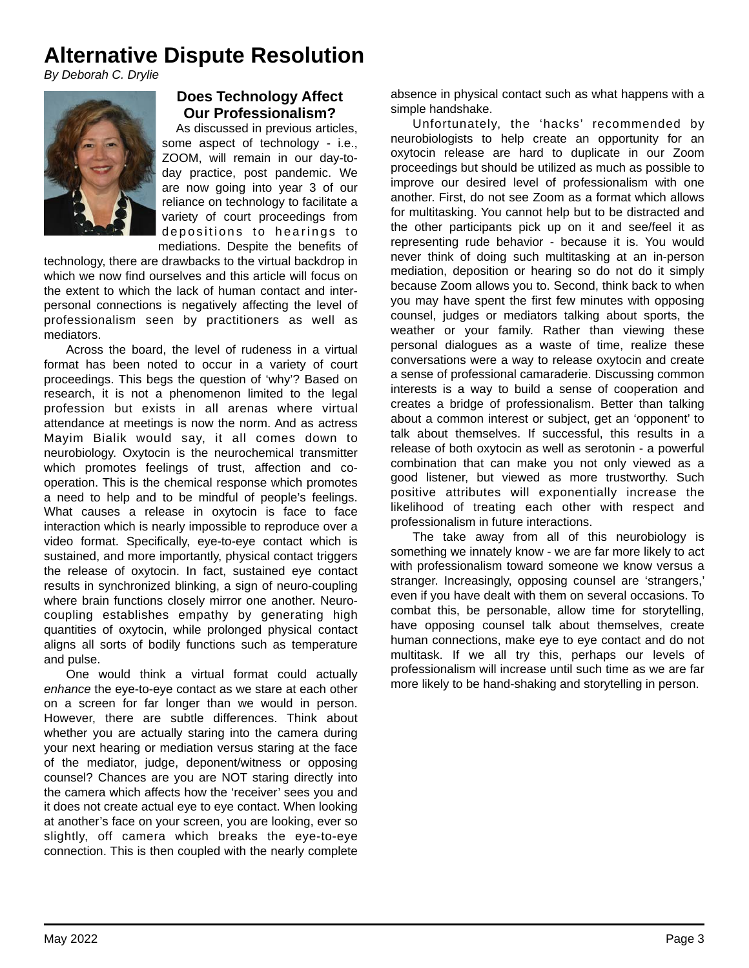## **Alternative Dispute Resolution**

*By Deborah C. Drylie*



### **Does Technology Affect Our Professionalism?**

As discussed in previous articles, some aspect of technology - i.e., ZOOM, will remain in our day-today practice, post pandemic. We are now going into year 3 of our reliance on technology to facilitate a variety of court proceedings from depositions to hearings to mediations. Despite the benefits of

technology, there are drawbacks to the virtual backdrop in which we now find ourselves and this article will focus on the extent to which the lack of human contact and interpersonal connections is negatively affecting the level of professionalism seen by practitioners as well as mediators.

Across the board, the level of rudeness in a virtual format has been noted to occur in a variety of court proceedings. This begs the question of 'why'? Based on research, it is not a phenomenon limited to the legal profession but exists in all arenas where virtual attendance at meetings is now the norm. And as actress Mayim Bialik would say, it all comes down to neurobiology. Oxytocin is the neurochemical transmitter which promotes feelings of trust, affection and cooperation. This is the chemical response which promotes a need to help and to be mindful of people's feelings. What causes a release in oxytocin is face to face interaction which is nearly impossible to reproduce over a video format. Specifically, eye-to-eye contact which is sustained, and more importantly, physical contact triggers the release of oxytocin. In fact, sustained eye contact results in synchronized blinking, a sign of neuro-coupling where brain functions closely mirror one another. Neurocoupling establishes empathy by generating high quantities of oxytocin, while prolonged physical contact aligns all sorts of bodily functions such as temperature and pulse.

One would think a virtual format could actually *enhance* the eye-to-eye contact as we stare at each other on a screen for far longer than we would in person. However, there are subtle differences. Think about whether you are actually staring into the camera during your next hearing or mediation versus staring at the face of the mediator, judge, deponent/witness or opposing counsel? Chances are you are NOT staring directly into the camera which affects how the 'receiver' sees you and it does not create actual eye to eye contact. When looking at another's face on your screen, you are looking, ever so slightly, off camera which breaks the eye-to-eye connection. This is then coupled with the nearly complete

absence in physical contact such as what happens with a simple handshake.

Unfortunately, the 'hacks' recommended by neurobiologists to help create an opportunity for an oxytocin release are hard to duplicate in our Zoom proceedings but should be utilized as much as possible to improve our desired level of professionalism with one another. First, do not see Zoom as a format which allows for multitasking. You cannot help but to be distracted and the other participants pick up on it and see/feel it as representing rude behavior - because it is. You would never think of doing such multitasking at an in-person mediation, deposition or hearing so do not do it simply because Zoom allows you to. Second, think back to when you may have spent the first few minutes with opposing counsel, judges or mediators talking about sports, the weather or your family. Rather than viewing these personal dialogues as a waste of time, realize these conversations were a way to release oxytocin and create a sense of professional camaraderie. Discussing common interests is a way to build a sense of cooperation and creates a bridge of professionalism. Better than talking about a common interest or subject, get an 'opponent' to talk about themselves. If successful, this results in a release of both oxytocin as well as serotonin - a powerful combination that can make you not only viewed as a good listener, but viewed as more trustworthy. Such positive attributes will exponentially increase the likelihood of treating each other with respect and professionalism in future interactions.

The take away from all of this neurobiology is something we innately know - we are far more likely to act with professionalism toward someone we know versus a stranger. Increasingly, opposing counsel are 'strangers,' even if you have dealt with them on several occasions. To combat this, be personable, allow time for storytelling, have opposing counsel talk about themselves, create human connections, make eye to eye contact and do not multitask. If we all try this, perhaps our levels of professionalism will increase until such time as we are far more likely to be hand-shaking and storytelling in person.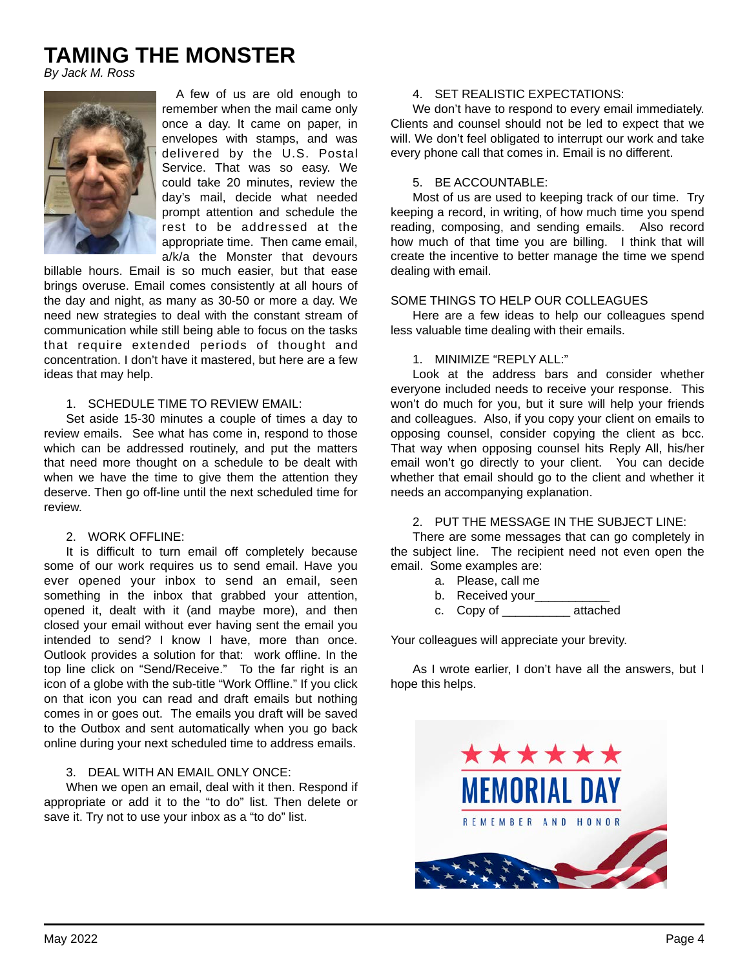## **TAMING THE MONSTER**

*By Jack M. Ross*



A few of us are old enough to remember when the mail came only once a day. It came on paper, in envelopes with stamps, and was delivered by the U.S. Postal Service. That was so easy. We could take 20 minutes, review the day's mail, decide what needed prompt attention and schedule the rest to be addressed at the appropriate time. Then came email, a/k/a the Monster that devours

billable hours. Email is so much easier, but that ease brings overuse. Email comes consistently at all hours of the day and night, as many as 30-50 or more a day. We need new strategies to deal with the constant stream of communication while still being able to focus on the tasks that require extended periods of thought and concentration. I don't have it mastered, but here are a few ideas that may help.

#### 1. SCHEDULE TIME TO REVIEW EMAIL:

Set aside 15-30 minutes a couple of times a day to review emails. See what has come in, respond to those which can be addressed routinely, and put the matters that need more thought on a schedule to be dealt with when we have the time to give them the attention they deserve. Then go off-line until the next scheduled time for review.

#### 2. WORK OFFLINE:

It is difficult to turn email off completely because some of our work requires us to send email. Have you ever opened your inbox to send an email, seen something in the inbox that grabbed your attention, opened it, dealt with it (and maybe more), and then closed your email without ever having sent the email you intended to send? I know I have, more than once. Outlook provides a solution for that: work offline. In the top line click on "Send/Receive." To the far right is an icon of a globe with the sub-title "Work Offline." If you click on that icon you can read and draft emails but nothing comes in or goes out. The emails you draft will be saved to the Outbox and sent automatically when you go back online during your next scheduled time to address emails.

#### 3. DEAL WITH AN EMAIL ONLY ONCE:

When we open an email, deal with it then. Respond if appropriate or add it to the "to do" list. Then delete or save it. Try not to use your inbox as a "to do" list.

#### 4. SET REALISTIC EXPECTATIONS:

We don't have to respond to every email immediately. Clients and counsel should not be led to expect that we will. We don't feel obligated to interrupt our work and take every phone call that comes in. Email is no different.

#### 5. BE ACCOUNTABLE:

Most of us are used to keeping track of our time. Try keeping a record, in writing, of how much time you spend reading, composing, and sending emails. Also record how much of that time you are billing. I think that will create the incentive to better manage the time we spend dealing with email.

#### SOME THINGS TO HELP OUR COLLEAGUES

Here are a few ideas to help our colleagues spend less valuable time dealing with their emails.

#### 1. MINIMIZE "REPLY ALL:"

Look at the address bars and consider whether everyone included needs to receive your response. This won't do much for you, but it sure will help your friends and colleagues. Also, if you copy your client on emails to opposing counsel, consider copying the client as bcc. That way when opposing counsel hits Reply All, his/her email won't go directly to your client. You can decide whether that email should go to the client and whether it needs an accompanying explanation.

#### 2. PUT THE MESSAGE IN THE SUBJECT LINE:

There are some messages that can go completely in the subject line. The recipient need not even open the email. Some examples are:

- a. Please, call me
- b. Received your\_\_\_\_\_\_\_\_
- c. Copy of \_\_\_\_\_\_\_\_\_\_ attached

Your colleagues will appreciate your brevity.

As I wrote earlier, I don't have all the answers, but I hope this helps.

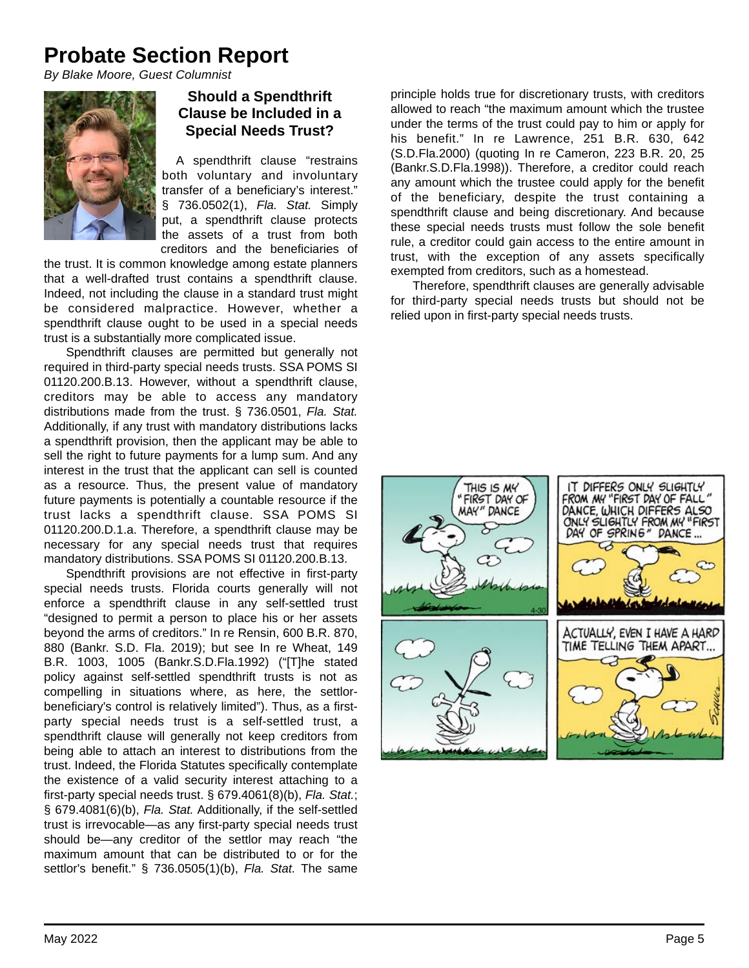# **Probate Section Report**

*By Blake Moore, Guest Columnist*



### **Should a Spendthrift Clause be Included in a Special Needs Trust?**

A spendthrift clause "restrains both voluntary and involuntary transfer of a beneficiary's interest." § 736.0502(1), *Fla. Stat.* Simply put, a spendthrift clause protects the assets of a trust from both creditors and the beneficiaries of

the trust. It is common knowledge among estate planners that a well-drafted trust contains a spendthrift clause. Indeed, not including the clause in a standard trust might be considered malpractice. However, whether a spendthrift clause ought to be used in a special needs trust is a substantially more complicated issue.

Spendthrift clauses are permitted but generally not required in third-party special needs trusts. SSA POMS SI 01120.200.B.13. However, without a spendthrift clause, creditors may be able to access any mandatory distributions made from the trust. § 736.0501, *Fla. Stat.*  Additionally, if any trust with mandatory distributions lacks a spendthrift provision, then the applicant may be able to sell the right to future payments for a lump sum. And any interest in the trust that the applicant can sell is counted as a resource. Thus, the present value of mandatory future payments is potentially a countable resource if the trust lacks a spendthrift clause. SSA POMS SI 01120.200.D.1.a. Therefore, a spendthrift clause may be necessary for any special needs trust that requires mandatory distributions. SSA POMS SI 01120.200.B.13.

Spendthrift provisions are not effective in first-party special needs trusts. Florida courts generally will not enforce a spendthrift clause in any self-settled trust "designed to permit a person to place his or her assets beyond the arms of creditors." In re Rensin, 600 B.R. 870, 880 (Bankr. S.D. Fla. 2019); but see In re Wheat, 149 B.R. 1003, 1005 (Bankr.S.D.Fla.1992) ("[T]he stated policy against self-settled spendthrift trusts is not as compelling in situations where, as here, the settlorbeneficiary's control is relatively limited"). Thus, as a firstparty special needs trust is a self-settled trust, a spendthrift clause will generally not keep creditors from being able to attach an interest to distributions from the trust. Indeed, the Florida Statutes specifically contemplate the existence of a valid security interest attaching to a first-party special needs trust. § 679.4061(8)(b), *Fla. Stat.*; § 679.4081(6)(b), *Fla. Stat.* Additionally, if the self-settled trust is irrevocable—as any first-party special needs trust should be—any creditor of the settlor may reach "the maximum amount that can be distributed to or for the settlor's benefit." § 736.0505(1)(b), *Fla. Stat.* The same

principle holds true for discretionary trusts, with creditors allowed to reach "the maximum amount which the trustee under the terms of the trust could pay to him or apply for his benefit." In re Lawrence, 251 B.R. 630, 642 (S.D.Fla.2000) (quoting In re Cameron, 223 B.R. 20, 25 (Bankr.S.D.Fla.1998)). Therefore, a creditor could reach any amount which the trustee could apply for the benefit of the beneficiary, despite the trust containing a spendthrift clause and being discretionary. And because these special needs trusts must follow the sole benefit rule, a creditor could gain access to the entire amount in trust, with the exception of any assets specifically exempted from creditors, such as a homestead.

Therefore, spendthrift clauses are generally advisable for third-party special needs trusts but should not be relied upon in first-party special needs trusts.

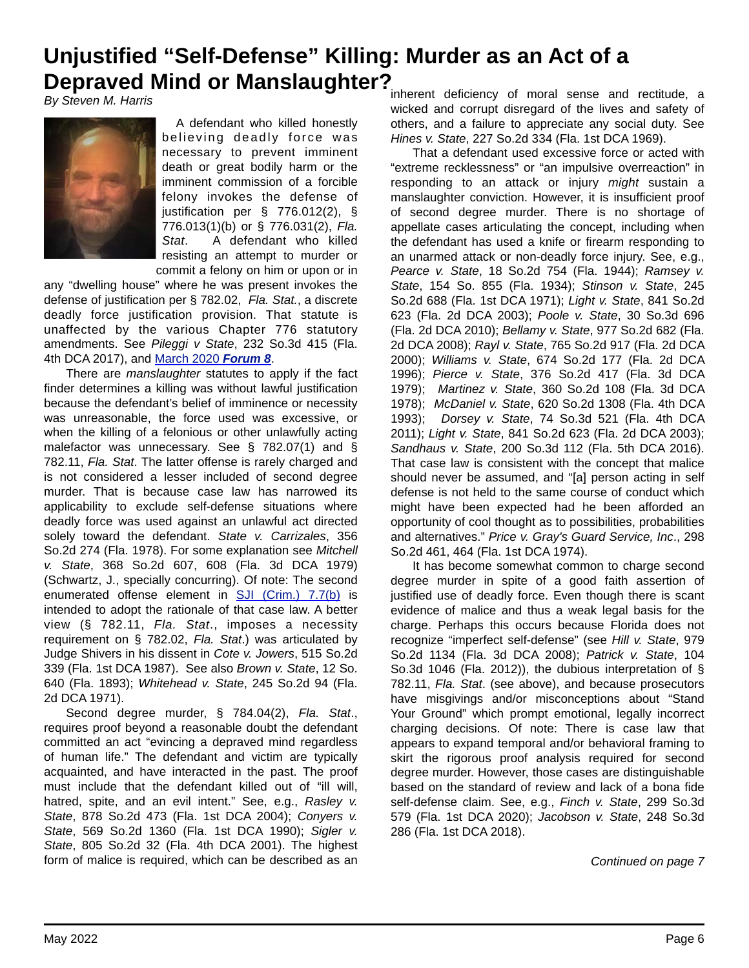# **Depraved Mind or Manslaughter?**<br>Py Staven M Herric a **Manslaughter**? **inherent deficiency of moral sense and rectitude**, a **Unjustified "Self-Defense" Killing: Murder as an Act of a**

*By Steven M. Harris*



A defendant who killed honestly believing deadly force was necessary to prevent imminent death or great bodily harm or the imminent commission of a forcible felony invokes the defense of justification per § 776.012(2), § 776.013(1)(b) or § 776.031(2), *Fla. Stat*. A defendant who killed resisting an attempt to murder or commit a felony on him or upon or in

any "dwelling house" where he was present invokes the defense of justification per § 782.02, *Fla. Stat.*, a discrete deadly force justification provision. That statute is unaffected by the various Chapter 776 statutory amendments. See *Pileggi v State*, 232 So.3d 415 (Fla. 4th DCA 2017), and [March 2020](https://www.8jcba.org/resources/Documents/Mar%202020%20Newsletter.pdf) *Forum 8*.

There are *manslaughter* statutes to apply if the fact finder determines a killing was without lawful justification because the defendant's belief of imminence or necessity was unreasonable, the force used was excessive, or when the killing of a felonious or other unlawfully acting malefactor was unnecessary. See § 782.07(1) and § 782.11, *Fla. Stat*. The latter offense is rarely charged and is not considered a lesser included of second degree murder. That is because case law has narrowed its applicability to exclude self-defense situations where deadly force was used against an unlawful act directed solely toward the defendant. *State v. Carrizales*, 356 So.2d 274 (Fla. 1978). For some explanation see *Mitchell v. State*, 368 So.2d 607, 608 (Fla. 3d DCA 1979) (Schwartz, J., specially concurring). Of note: The second enumerated offense element in [SJI \(Crim.\) 7.7\(b\)](https://www.floridabar.org/rules/florida-standard-jury-instructions/criminal-jury-instructions-home/criminal-jury-instructions/sji-criminal-chapter-7/) is intended to adopt the rationale of that case law. A better view (§ 782.11, *Fla. Stat*., imposes a necessity requirement on § 782.02, *Fla. Stat*.) was articulated by Judge Shivers in his dissent in *Cote v. Jowers*, 515 So.2d 339 (Fla. 1st DCA 1987). See also *Brown v. State*, 12 So. 640 (Fla. 1893); *Whitehead v. State*, 245 So.2d 94 (Fla. 2d DCA 1971).

Second degree murder, § 784.04(2), *Fla. Stat*., requires proof beyond a reasonable doubt the defendant committed an act "evincing a depraved mind regardless of human life." The defendant and victim are typically acquainted, and have interacted in the past. The proof must include that the defendant killed out of "ill will, hatred, spite, and an evil intent." See, e.g., *Rasley v. State*, 878 So.2d 473 (Fla. 1st DCA 2004); *Conyers v. State*, 569 So.2d 1360 (Fla. 1st DCA 1990); *Sigler v. State*, 805 So.2d 32 (Fla. 4th DCA 2001). The highest form of malice is required, which can be described as an wicked and corrupt disregard of the lives and safety of others, and a failure to appreciate any social duty. See *Hines v. State*, 227 So.2d 334 (Fla. 1st DCA 1969).

That a defendant used excessive force or acted with "extreme recklessness" or "an impulsive overreaction" in responding to an attack or injury *might* sustain a manslaughter conviction. However, it is insufficient proof of second degree murder. There is no shortage of appellate cases articulating the concept, including when the defendant has used a knife or firearm responding to an unarmed attack or non-deadly force injury. See, e.g., *Pearce v. State*, 18 So.2d 754 (Fla. 1944); *Ramsey v. State*, 154 So. 855 (Fla. 1934); *Stinson v. State*, 245 So.2d 688 (Fla. 1st DCA 1971); *Light v. State*, 841 So.2d 623 (Fla. 2d DCA 2003); *Poole v. State*, 30 So.3d 696 (Fla. 2d DCA 2010); *Bellamy v. State*, 977 So.2d 682 (Fla. 2d DCA 2008); *Rayl v. State*, 765 So.2d 917 (Fla. 2d DCA 2000); *Williams v. State*, 674 So.2d 177 (Fla. 2d DCA 1996); *Pierce v. State*, 376 So.2d 417 (Fla. 3d DCA 1979); *Martinez v. State*, 360 So.2d 108 (Fla. 3d DCA 1978); *McDaniel v. State*, 620 So.2d 1308 (Fla. 4th DCA 1993); *Dorsey v. State*, 74 So.3d 521 (Fla. 4th DCA 2011); *Light v. State*, 841 So.2d 623 (Fla. 2d DCA 2003); *Sandhaus v. State*, 200 So.3d 112 (Fla. 5th DCA 2016). That case law is consistent with the concept that malice should never be assumed, and "[a] person acting in self defense is not held to the same course of conduct which might have been expected had he been afforded an opportunity of cool thought as to possibilities, probabilities and alternatives." *Price v. Gray's Guard Service, Inc*., 298 So.2d 461, 464 (Fla. 1st DCA 1974).

It has become somewhat common to charge second degree murder in spite of a good faith assertion of justified use of deadly force. Even though there is scant evidence of malice and thus a weak legal basis for the charge. Perhaps this occurs because Florida does not recognize "imperfect self-defense" (see *Hill v. State*, 979 So.2d 1134 (Fla. 3d DCA 2008); *Patrick v. State*, 104 So.3d 1046 (Fla. 2012)), the dubious interpretation of § 782.11, *Fla. Stat*. (see above), and because prosecutors have misgivings and/or misconceptions about "Stand Your Ground" which prompt emotional, legally incorrect charging decisions. Of note: There is case law that appears to expand temporal and/or behavioral framing to skirt the rigorous proof analysis required for second degree murder. However, those cases are distinguishable based on the standard of review and lack of a bona fide self-defense claim. See, e.g., *Finch v. State*, 299 So.3d 579 (Fla. 1st DCA 2020); *Jacobson v. State*, 248 So.3d 286 (Fla. 1st DCA 2018).

*Continued on page 7*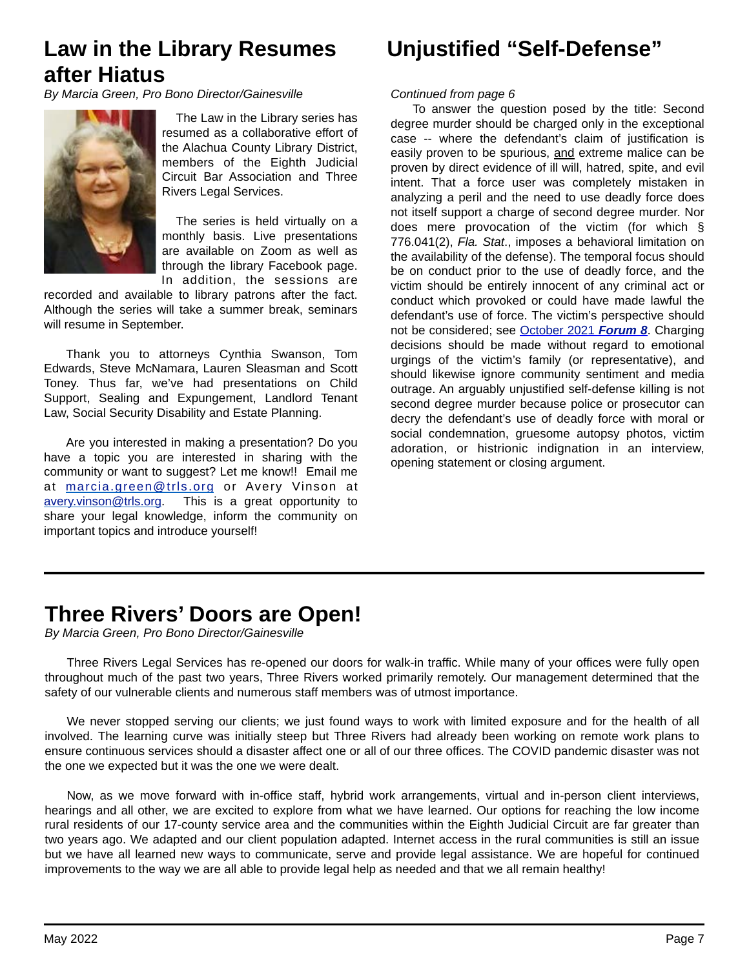## **Law in the Library Resumes Unjustified "Self-Defense" after Hiatus**

*By Marcia Green, Pro Bono Director/Gainesville*



 The Law in the Library series has resumed as a collaborative effort of the Alachua County Library District, members of the Eighth Judicial Circuit Bar Association and Three Rivers Legal Services.

The series is held virtually on a monthly basis. Live presentations are available on Zoom as well as through the library Facebook page. In addition, the sessions are

recorded and available to library patrons after the fact. Although the series will take a summer break, seminars will resume in September.

Thank you to attorneys Cynthia Swanson, Tom Edwards, Steve McNamara, Lauren Sleasman and Scott Toney. Thus far, we've had presentations on Child Support, Sealing and Expungement, Landlord Tenant Law, Social Security Disability and Estate Planning.

Are you interested in making a presentation? Do you have a topic you are interested in sharing with the community or want to suggest? Let me know!! Email me at [marcia.green@trls.org](mailto:marcia.green@trls.org) or Avery Vinson at [avery.vinson@trls.org](mailto:avery.vinson@trls.org). This is a great opportunity to share your legal knowledge, inform the community on important topics and introduce yourself!

#### *Continued from page 6*

To answer the question posed by the title: Second degree murder should be charged only in the exceptional case -- where the defendant's claim of justification is easily proven to be spurious, and extreme malice can be proven by direct evidence of ill will, hatred, spite, and evil intent. That a force user was completely mistaken in analyzing a peril and the need to use deadly force does not itself support a charge of second degree murder. Nor does mere provocation of the victim (for which § 776.041(2), *Fla. Stat*., imposes a behavioral limitation on the availability of the defense). The temporal focus should be on conduct prior to the use of deadly force, and the victim should be entirely innocent of any criminal act or conduct which provoked or could have made lawful the defendant's use of force. The victim's perspective should not be considered; see [October 2021](https://www.8jcba.org/resources/Documents/Oct%202021%20Newsletter.pdf) *Forum 8*. Charging decisions should be made without regard to emotional urgings of the victim's family (or representative), and should likewise ignore community sentiment and media outrage. An arguably unjustified self-defense killing is not second degree murder because police or prosecutor can decry the defendant's use of deadly force with moral or social condemnation, gruesome autopsy photos, victim adoration, or histrionic indignation in an interview, opening statement or closing argument.

### **Three Rivers' Doors are Open!**

*By Marcia Green, Pro Bono Director/Gainesville*

Three Rivers Legal Services has re-opened our doors for walk-in traffic. While many of your offices were fully open throughout much of the past two years, Three Rivers worked primarily remotely. Our management determined that the safety of our vulnerable clients and numerous staff members was of utmost importance.

We never stopped serving our clients; we just found ways to work with limited exposure and for the health of all involved. The learning curve was initially steep but Three Rivers had already been working on remote work plans to ensure continuous services should a disaster affect one or all of our three offices. The COVID pandemic disaster was not the one we expected but it was the one we were dealt.

Now, as we move forward with in-office staff, hybrid work arrangements, virtual and in-person client interviews, hearings and all other, we are excited to explore from what we have learned. Our options for reaching the low income rural residents of our 17-county service area and the communities within the Eighth Judicial Circuit are far greater than two years ago. We adapted and our client population adapted. Internet access in the rural communities is still an issue but we have all learned new ways to communicate, serve and provide legal assistance. We are hopeful for continued improvements to the way we are all able to provide legal help as needed and that we all remain healthy!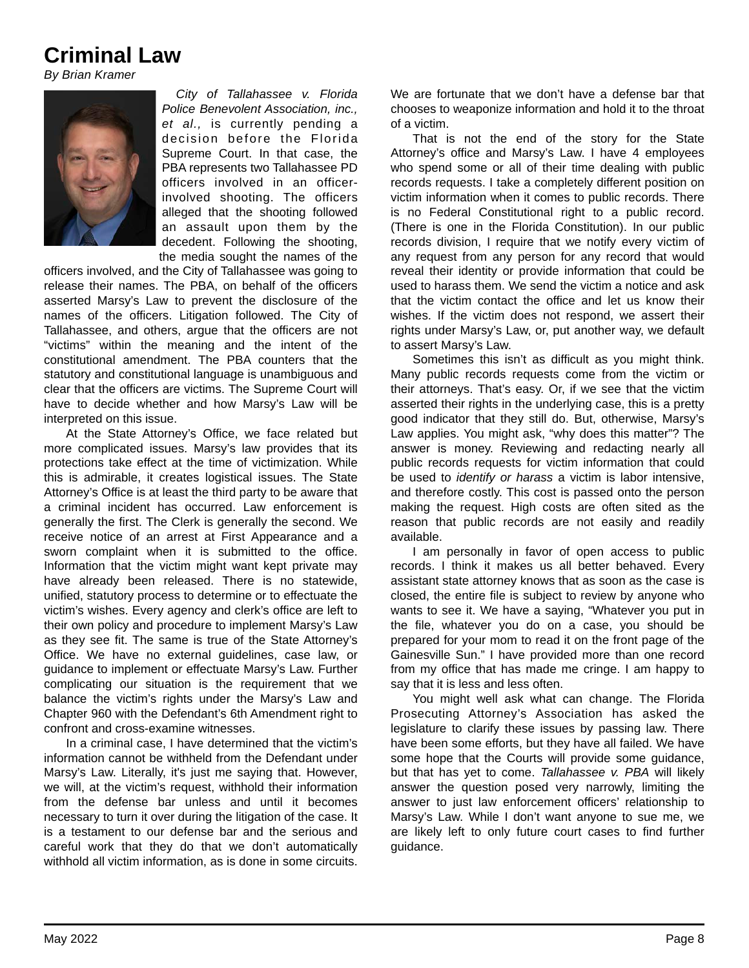### **Criminal Law**

*By Brian Kramer*



*City of Tallahassee v. Florida Police Benevolent Association, inc., et al.,* is currently pending a decision before the Florida Supreme Court. In that case, the PBA represents two Tallahassee PD officers involved in an officerinvolved shooting. The officers alleged that the shooting followed an assault upon them by the decedent. Following the shooting, the media sought the names of the

officers involved, and the City of Tallahassee was going to release their names. The PBA, on behalf of the officers asserted Marsy's Law to prevent the disclosure of the names of the officers. Litigation followed. The City of Tallahassee, and others, argue that the officers are not "victims" within the meaning and the intent of the constitutional amendment. The PBA counters that the statutory and constitutional language is unambiguous and clear that the officers are victims. The Supreme Court will have to decide whether and how Marsy's Law will be interpreted on this issue.

At the State Attorney's Office, we face related but more complicated issues. Marsy's law provides that its protections take effect at the time of victimization. While this is admirable, it creates logistical issues. The State Attorney's Office is at least the third party to be aware that a criminal incident has occurred. Law enforcement is generally the first. The Clerk is generally the second. We receive notice of an arrest at First Appearance and a sworn complaint when it is submitted to the office. Information that the victim might want kept private may have already been released. There is no statewide, unified, statutory process to determine or to effectuate the victim's wishes. Every agency and clerk's office are left to their own policy and procedure to implement Marsy's Law as they see fit. The same is true of the State Attorney's Office. We have no external guidelines, case law, or guidance to implement or effectuate Marsy's Law. Further complicating our situation is the requirement that we balance the victim's rights under the Marsy's Law and Chapter 960 with the Defendant's 6th Amendment right to confront and cross-examine witnesses.

In a criminal case, I have determined that the victim's information cannot be withheld from the Defendant under Marsy's Law. Literally, it's just me saying that. However, we will, at the victim's request, withhold their information from the defense bar unless and until it becomes necessary to turn it over during the litigation of the case. It is a testament to our defense bar and the serious and careful work that they do that we don't automatically withhold all victim information, as is done in some circuits. We are fortunate that we don't have a defense bar that chooses to weaponize information and hold it to the throat of a victim.

That is not the end of the story for the State Attorney's office and Marsy's Law. I have 4 employees who spend some or all of their time dealing with public records requests. I take a completely different position on victim information when it comes to public records. There is no Federal Constitutional right to a public record. (There is one in the Florida Constitution). In our public records division, I require that we notify every victim of any request from any person for any record that would reveal their identity or provide information that could be used to harass them. We send the victim a notice and ask that the victim contact the office and let us know their wishes. If the victim does not respond, we assert their rights under Marsy's Law, or, put another way, we default to assert Marsy's Law.

Sometimes this isn't as difficult as you might think. Many public records requests come from the victim or their attorneys. That's easy. Or, if we see that the victim asserted their rights in the underlying case, this is a pretty good indicator that they still do. But, otherwise, Marsy's Law applies. You might ask, "why does this matter"? The answer is money. Reviewing and redacting nearly all public records requests for victim information that could be used to *identify or harass* a victim is labor intensive, and therefore costly. This cost is passed onto the person making the request. High costs are often sited as the reason that public records are not easily and readily available.

I am personally in favor of open access to public records. I think it makes us all better behaved. Every assistant state attorney knows that as soon as the case is closed, the entire file is subject to review by anyone who wants to see it. We have a saying, "Whatever you put in the file, whatever you do on a case, you should be prepared for your mom to read it on the front page of the Gainesville Sun." I have provided more than one record from my office that has made me cringe. I am happy to say that it is less and less often.

You might well ask what can change. The Florida Prosecuting Attorney's Association has asked the legislature to clarify these issues by passing law. There have been some efforts, but they have all failed. We have some hope that the Courts will provide some guidance, but that has yet to come. *Tallahassee v. PBA* will likely answer the question posed very narrowly, limiting the answer to just law enforcement officers' relationship to Marsy's Law. While I don't want anyone to sue me, we are likely left to only future court cases to find further guidance.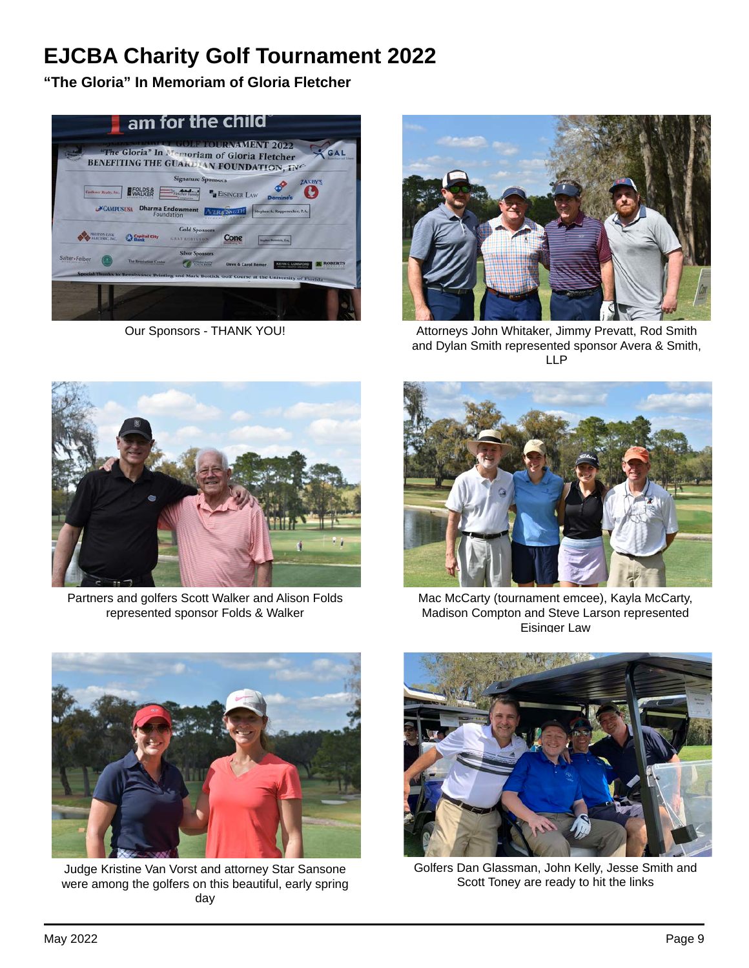# **EJCBA Charity Golf Tournament 2022**

**"The Gloria" In Memoriam of Gloria Fletcher**





Our Sponsors - THANK YOU! Attorneys John Whitaker, Jimmy Prevatt, Rod Smith and Dylan Smith represented sponsor Avera & Smith, LLP



Partners and golfers Scott Walker and Alison Folds represented sponsor Folds & Walker



Mac McCarty (tournament emcee), Kayla McCarty, Madison Compton and Steve Larson represented Eisinger Law



Judge Kristine Van Vorst and attorney Star Sansone were among the golfers on this beautiful, early spring day



Golfers Dan Glassman, John Kelly, Jesse Smith and Scott Toney are ready to hit the links